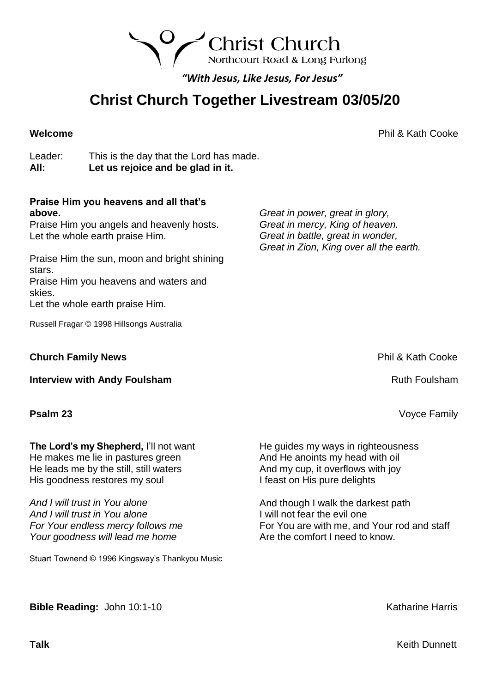Northcourt Road & Long Furlong

**Christ Church** 

*"With Jesus, Like Jesus, For Jesus"*

# **Christ Church Together Livestream 03/05/20**

**Welcome** Phil & Kath Cooke

Leader: This is the day that the Lord has made. **All: Let us rejoice and be glad in it.** 

#### **Praise Him you heavens and all that's above.**

Praise Him you angels and heavenly hosts. Let the whole earth praise Him.

Praise Him the sun, moon and bright shining stars. Praise Him you heavens and waters and skies.

Let the whole earth praise Him.

Russell Fragar © 1998 Hillsongs Australia

## **Church Family News Church Family News Phil & Kath Cooke**

**Interview with Andy Foulsham Ruth Foulsham Ruth Foulsham** 

**The Lord's my Shepherd,** I'll not want He makes me lie in pastures green He leads me by the still, still waters His goodness restores my soul

*And I will trust in You alone And I will trust in You alone For Your endless mercy follows me Your goodness will lead me home*

Stuart Townend © 1996 Kingsway's Thankyou Music

*Great in power, great in glory, Great in mercy, King of heaven. Great in battle, great in wonder, Great in Zion, King over all the earth.*

**Psalm 23** Voyce Family

He guides my ways in righteousness And He anoints my head with oil And my cup, it overflows with joy I feast on His pure delights

And though I walk the darkest path I will not fear the evil one For You are with me, and Your rod and staff Are the comfort I need to know.

**Bible Reading:** John 10:1-10 Katharine Harris

**Talk** Keith Dunnett